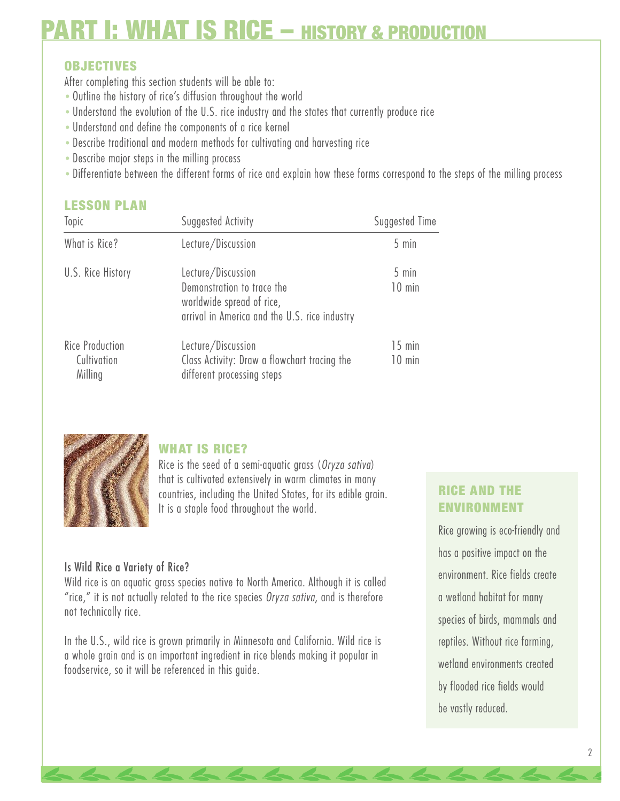# **OBJECTIVES**

After completing this section students will be able to:

- *•* Outline the history of rice's diffusion throughout the world
- *•* Understand the evolution of the U.S. rice industry and the states that currently produce rice
- *•* Understand and define the components of a rice kernel
- *•* Describe traditional and modern methods for cultivating and harvesting rice
- *•* Describe major steps in the milling process
- *•* Differentiate between the different forms of rice and explain how these forms correspond to the steps of the milling process

#### **LESSON PLAN**

| Suggested Activity<br>Topic |                                                                            | Suggested Time    |  |
|-----------------------------|----------------------------------------------------------------------------|-------------------|--|
| What is Rice?               | Lecture/Discussion                                                         | $5 \text{ min}$   |  |
| U.S. Rice History           | Lecture/Discussion<br>Demonstration to trace the                           | 5 min<br>$10$ min |  |
|                             | worldwide spread of rice,<br>arrival in America and the U.S. rice industry |                   |  |
| <b>Rice Production</b>      | Lecture/Discussion                                                         | $15$ min          |  |
| Cultivation<br>Milling      | Class Activity: Draw a flowchart tracing the<br>different processing steps | $10$ min          |  |



## **WHAT IS RICE?**

Rice is the seed of a semi-aquatic grass (*Oryza sativa*) that is cultivated extensively in warm climates in many countries, including the United States, for its edible grain. It is a staple food throughout the world.

#### Is Wild Rice a Variety of Rice?

Wild rice is an aquatic grass species native to North America. Although it is called "rice," it is not actually related to the rice species *Oryza sativa*, and is therefore not technically rice.

In the U.S., wild rice is grown primarily in Minnesota and California. Wild rice is a whole grain and is an important ingredient in rice blends making it popular in foodservice, so it will be referenced in this guide.

# **RICE AND THE ENVIRONMENT**

Rice growing is eco-friendly and has a positive impact on the environment. Rice fields create a wetland habitat for many species of birds, mammals and reptiles. Without rice farming, wetland environments created by flooded rice fields would be vastly reduced.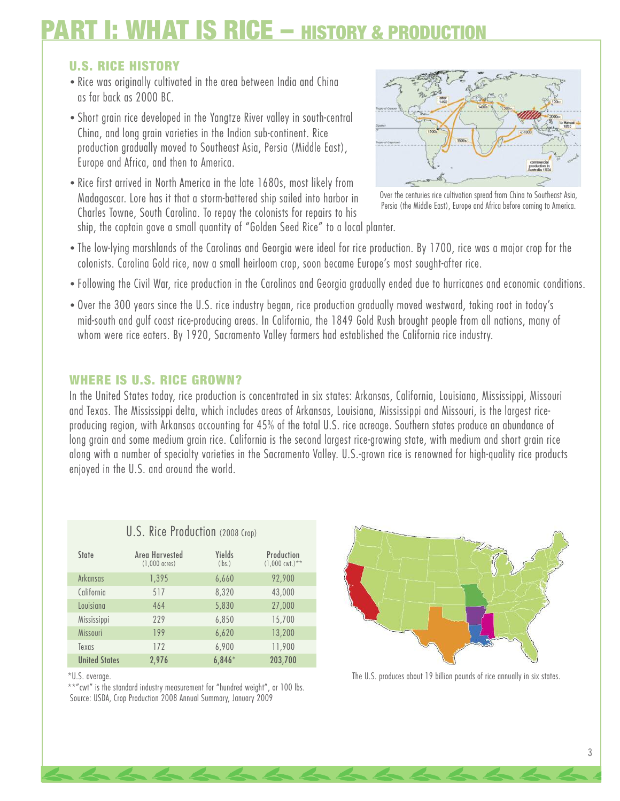## **U.S. RICE HISTORY**

- *•* Rice was originally cultivated in the area between India and China as far back as 2000 BC.
- *•* Short grain rice developed in the Yangtze River valley in south-central China, and long grain varieties in the Indian sub-continent. Rice production gradually moved to Southeast Asia, Persia (Middle East), Europe and Africa, and then to America.
- *•* Rice first arrived in North America in the late 1680s, most likely from Madagascar. Lore has it that a storm-battered ship sailed into harbor in Charles Towne, South Carolina. To repay the colonists for repairs to his ship, the captain gave a small quantity of "Golden Seed Rice" to a local planter.



Over the centuries rice cultivation spread from China to Southeast Asia, Persia (the Middle East), Europe and Africa before coming to America.

- *•* The low-lying marshlands of the Carolinas and Georgia were ideal for rice production. By 1700, rice was a major crop for the colonists. Carolina Gold rice, now a small heirloom crop, soon became Europe's most sought-after rice.
- *•* Following the Civil War, rice production in the Carolinas and Georgia gradually ended due to hurricanes and economic conditions.
- *•* Over the 300 years since the U.S. rice industry began, rice production gradually moved westward, taking root in today's mid-south and gulf coast rice-producing areas. In California, the 1849 Gold Rush brought people from all nations, many of whom were rice eaters. By 1920, Sacramento Valley farmers had established the California rice industry.

#### **WHERE IS U.S. RICE GROWN?**

In the United States today, rice production is concentrated in six states: Arkansas, California, Louisiana, Mississippi, Missouri and Texas. The Mississippi delta, which includes areas of Arkansas, Louisiana, Mississippi and Missouri, is the largest riceproducing region, with Arkansas accounting for 45% of the total U.S. rice acreage. Southern states produce an abundance of long grain and some medium grain rice. California is the second largest rice-growing state, with medium and short grain rice along with a number of specialty varieties in the Sacramento Valley. U.S.-grown rice is renowned for high-quality rice products enjoyed in the U.S. and around the world.

| U.S. Rice Production (2008 Crop) |                                           |                  |                                         |
|----------------------------------|-------------------------------------------|------------------|-----------------------------------------|
| State                            | Area Harvested<br>$(1,000 \text{ acres})$ | Yields<br>(lbs.) | Production<br>$(1,000 \text{ cut.})$ ** |
| Arkansas                         | 1,395                                     | 6,660            | 92,900                                  |
| California                       | 517                                       | 8,320            | 43,000                                  |
| Louisiana                        | 464                                       | 5,830            | 27,000                                  |
| Mississippi                      | 229                                       | 6,850            | 15,700                                  |
| Missouri                         | 199                                       | 6,620            | 13,200                                  |
| Texas                            | 172                                       | 6,900            | 11,900                                  |
| <b>United States</b>             | 2,976                                     | $6,846*$         | 203,700                                 |

The U.S. produces about 19 billion pounds of rice annually in six states.

\*U.S. average.

\*\*"cwt" is the standard industry measurement for "hundred weight", or 100 lbs. Source: USDA, Crop Production 2008 Annual Summary, January 2009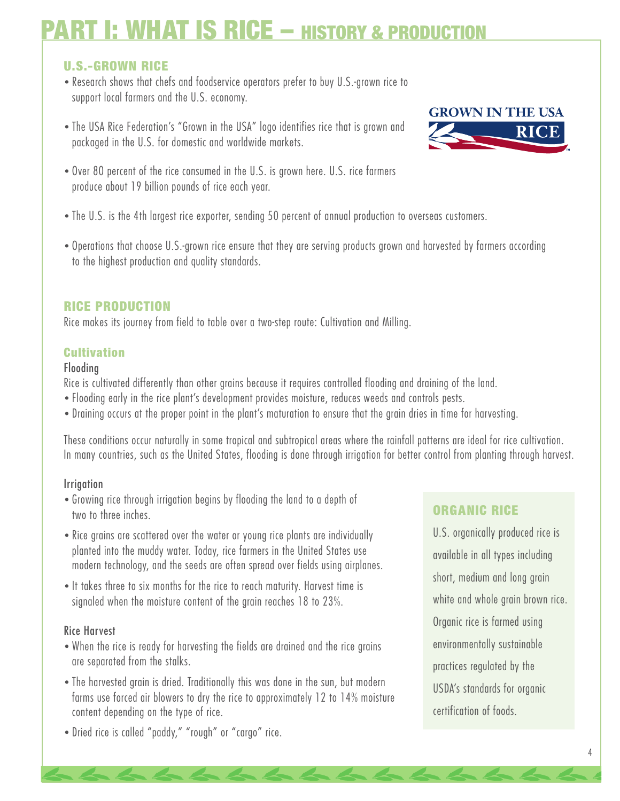# **U.S.-GROWN RICE**

- *•* Research shows that chefs and foodservice operators prefer to buy U.S.-grown rice to support local farmers and the U.S. economy.
- *•* The USA Rice Federation's "Grown in the USA" logo identifies rice that is grown and packaged in the U.S. for domestic and worldwide markets.



- *•* Over 80 percent of the rice consumed in the U.S. is grown here. U.S. rice farmers produce about 19 billion pounds of rice each year.
- *•* The U.S. is the 4th largest rice exporter, sending 50 percent of annual production to overseas customers.
- *•* Operations that choose U.S.-grown rice ensure that they are serving products grown and harvested by farmers according to the highest production and quality standards.

### **RICE PRODUCTION**

Rice makes its journey from field to table over a two-step route: Cultivation and Milling.

### **Cultivation**

#### Flooding

Rice is cultivated differently than other grains because it requires controlled flooding and draining of the land.

- *•* Flooding early in the rice plant's development provides moisture, reduces weeds and controls pests.
- *•* Draining occurs at the proper point in the plant's maturation to ensure that the grain dries in time for harvesting.

These conditions occur naturally in some tropical and subtropical areas where the rainfall patterns are ideal for rice cultivation. In many countries, such as the United States, flooding is done through irrigation for better control from planting through harvest.

#### Irrigation

- *•* Growing rice through irrigation begins by flooding the land to a depth of two to three inches.
- *•* Rice grains are scattered over the water or young rice plants are individually planted into the muddy water. Today, rice farmers in the United States use modern technology, and the seeds are often spread over fields using airplanes.
- *•* It takes three to six months for the rice to reach maturity. Harvest time is signaled when the moisture content of the grain reaches 18 to 23%.

#### Rice Harvest

- *•* When the rice is ready for harvesting the fields are drained and the rice grains are separated from the stalks.
- *•* The harvested grain is dried. Traditionally this was done in the sun, but modern farms use forced air blowers to dry the rice to approximately 12 to 14% moisture content depending on the type of rice.
- *•* Dried rice is called "paddy," "rough" or "cargo" rice.

# **ORGANIC RICE**

U.S. organically produced rice is available in all types including short, medium and long grain white and whole grain brown rice. Organic rice is farmed using environmentally sustainable practices regulated by the USDA's standards for organic certification of foods.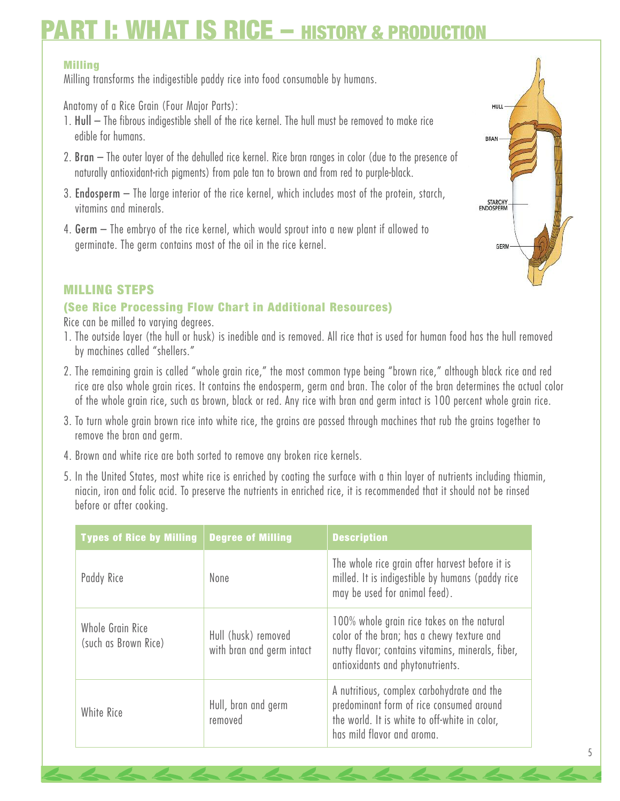#### **Milling**

Milling transforms the indigestible paddy rice into food consumable by humans.

Anatomy of a Rice Grain (Four Major Parts):

- 1. Hull The fibrous indigestible shell of the rice kernel. The hull must be removed to make rice edible for humans.
- 2. Bran The outer layer of the dehulled rice kernel. Rice bran ranges in color (due to the presence of naturally antioxidant-rich pigments) from pale tan to brown and from red to purple-black.
- 3. Endosperm The large interior of the rice kernel, which includes most of the protein, starch, vitamins and minerals.
- 4. Germ The embryo of the rice kernel, which would sprout into a new plant if allowed to germinate. The germ contains most of the oil in the rice kernel.

#### **MILLING STEPS**

#### **(See Rice Processing Flow Chart in Additional Resources)**

Rice can be milled to varying degrees.

- 1. The outside layer (the hull or husk) is inedible and is removed. All rice that is used for human food has the hull removed by machines called "shellers."
- 2. The remaining grain is called "whole grain rice," the most common type being "brown rice," although black rice and red rice are also whole grain rices. It contains the endosperm, germ and bran. The color of the bran determines the actual color of the whole grain rice, such as brown, black or red. Any rice with bran and germ intact is 100 percent whole grain rice.
- 3. To turn whole grain brown rice into white rice, the grains are passed through machines that rub the grains together to remove the bran and germ.
- 4. Brown and white rice are both sorted to remove any broken rice kernels.
- 5. In the United States, most white rice is enriched by coating the surface with a thin layer of nutrients including thiamin, niacin, iron and folic acid. To preserve the nutrients in enriched rice, it is recommended that it should not be rinsed before or after cooking.

| <b>Types of Rice by Milling</b>          | <b>Degree of Milling</b>                         | <b>Description</b>                                                                                                                                                                |
|------------------------------------------|--------------------------------------------------|-----------------------------------------------------------------------------------------------------------------------------------------------------------------------------------|
| Paddy Rice                               | None                                             | The whole rice grain after harvest before it is<br>milled. It is indigestible by humans (paddy rice<br>may be used for animal feed).                                              |
| Whole Grain Rice<br>(such as Brown Rice) | Hull (husk) removed<br>with bran and germ intact | 100% whole grain rice takes on the natural<br>color of the bran; has a chewy texture and<br>nutty flavor; contains vitamins, minerals, fiber,<br>antioxidants and phytonutrients. |
| White Rice                               | Hull, bran and germ<br>removed                   | A nutritious, complex carbohydrate and the<br>predominant form of rice consumed around<br>the world. It is white to off-white in color,<br>has mild flavor and aroma.             |

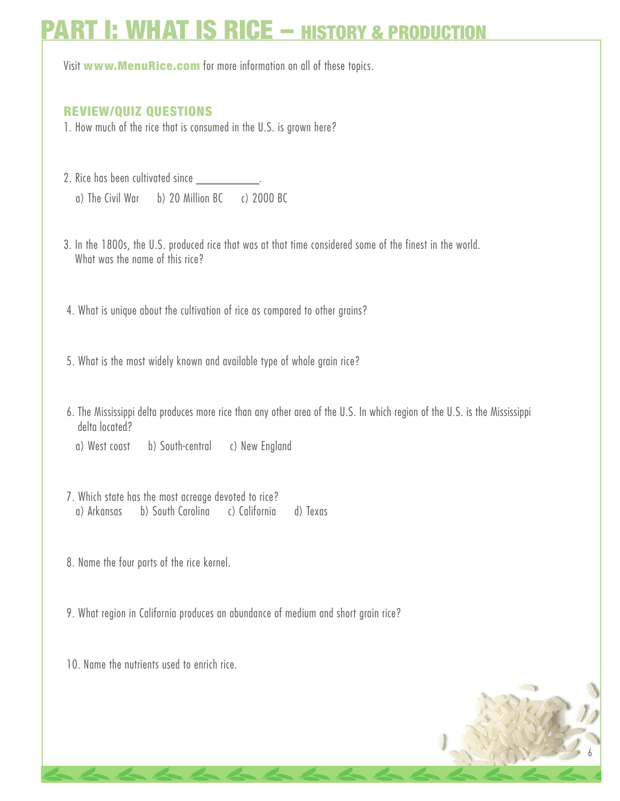Visit **www.MenuRice.com** for more information on all of these topics.

### **REVIEW/QUIZ QUESTIONS**

- 1. How much of the rice that is consumed in the U.S. is grown here?
- 2. Rice has been cultivated since \_\_\_\_\_\_\_ a) The Civil War b) 20 Million BC c) 2000 BC
- 3. In the 1800s, the U.S. produced rice that was at that time considered some of the finest in the world. What was the name of this rice?
- 4. What is unique about the cultivation of rice as compared to other grains?
- 5. What is the most widely known and available type of whole grain rice?
- 6. The Mississippi delta produces more rice than any other area of the U.S. In which region of the U.S. is the Mississippi delta located?
	- a) West coast b) South-central c) New England
- 7. Which state has the most acreage devoted to rice? a) Arkansas b) South Carolina c) California d) Texas
- 8. Name the four parts of the rice kernel.
- 9. What region in California produces an abundance of medium and short grain rice?
- 10. Name the nutrients used to enrich rice.